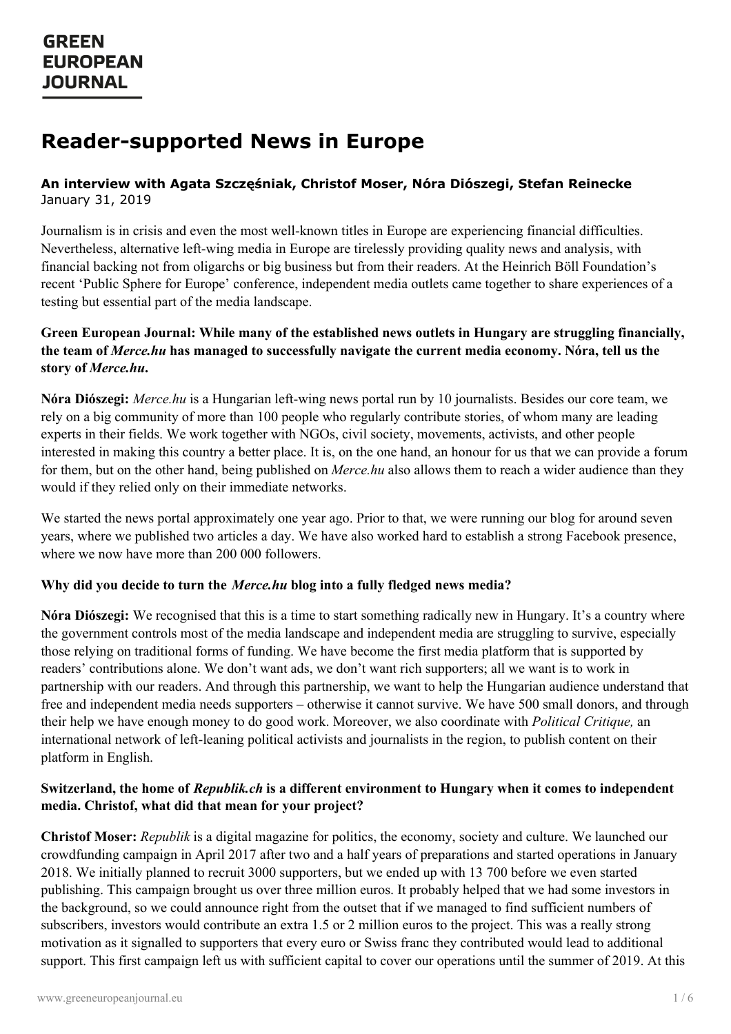# **Reader-supported News in Europe**

### **An interview with Agata Szczęśniak, Christof Moser, Nóra Diószegi, Stefan Reinecke** January 31, 2019

Journalism is in crisis and even the most well-known titles in Europe are experiencing financial difficulties. Nevertheless, alternative left-wing media in Europe are tirelessly providing quality news and analysis, with financial backing not from oligarchs or big business but from their readers. At the Heinrich Böll Foundation's recent 'Public Sphere for Europe' conference, independent media outlets came together to share experiences of a testing but essential part of the media landscape.

### **Green European Journal: While many of the established news outlets in Hungary are struggling financially, the team of** *Merce.hu* **has managed to successfully navigate the current media economy. Nóra, tell us the story of** *Merce.hu***.**

**Nóra Diószegi:** *Merce.hu* is a Hungarian left-wing news portal run by 10 journalists. Besides our core team, we rely on a big community of more than 100 people who regularly contribute stories, of whom many are leading experts in their fields. We work together with NGOs, civil society, movements, activists, and other people interested in making this country a better place. It is, on the one hand, an honour for us that we can provide a forum for them, but on the other hand, being published on *Merce.hu* also allows them to reach a wider audience than they would if they relied only on their immediate networks.

We started the news portal approximately one year ago. Prior to that, we were running our blog for around seven years, where we published two articles a day. We have also worked hard to establish a strong Facebook presence, where we now have more than 200 000 followers.

### **Why did you decide to turn the** *Merce.hu* **blog into a fully fledged news media?**

**Nóra Diószegi:** We recognised that this is a time to start something radically new in Hungary. It's a country where the government controls most of the media landscape and independent media are struggling to survive, especially those relying on traditional forms of funding. We have become the first media platform that is supported by readers' contributions alone. We don't want ads, we don't want rich supporters; all we want is to work in partnership with our readers. And through this partnership, we want to help the Hungarian audience understand that free and independent media needs supporters – otherwise it cannot survive. We have 500 small donors, and through their help we have enough money to do good work. Moreover, we also coordinate with *Political Critique,* an international network of left-leaning political activists and journalists in the region, to publish content on their platform in English.

### **Switzerland, the home of** *Republik.ch* **is a different environment to Hungary when it comes to independent media. Christof, what did that mean for your project?**

**Christof Moser:** *Republik* is a digital magazine for politics, the economy, society and culture. We launched our crowdfunding campaign in April 2017 after two and a half years of preparations and started operations in January 2018. We [initially](https://www.greeneuropeanjournal.eu) planned to recruit 3000 supporters, but we ended up with 13 700 before we even started publishing. This campaign brought us over three million euros. It probably helped that we had some investors in the background, so we could announce right from the outset that if we managed to find sufficient numbers of subscribers, investors would contribute an extra 1.5 or 2 million euros to the project. This was a really strong motivation as it signalled to supporters that every euro or Swiss franc they contributed would lead to additional support. This first campaign left us with sufficient capital to cover our operations until the summer of 2019. At this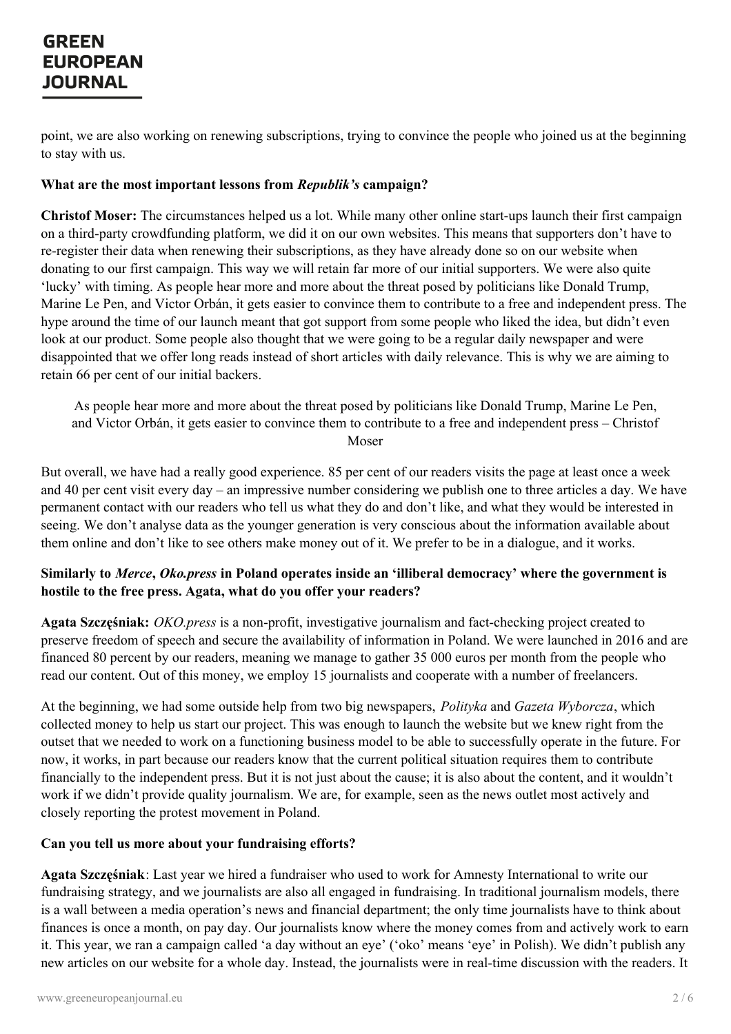point, we are also working on renewing subscriptions, trying to convince the people who joined us at the beginning to stay with us.

#### **What are the most important lessons from** *Republik's* **campaign?**

**Christof Moser:** The circumstances helped us a lot. While many other online start-ups launch their first campaign on a third-party crowdfunding platform, we did it on our own websites. This means that supporters don't have to re-register their data when renewing their subscriptions, as they have already done so on our website when donating to our first campaign. This way we will retain far more of our initial supporters. We were also quite 'lucky' with timing. As people hear more and more about the threat posed by politicians like Donald Trump, Marine Le Pen, and Victor Orbán, it gets easier to convince them to contribute to a free and independent press. The hype around the time of our launch meant that got support from some people who liked the idea, but didn't even look at our product. Some people also thought that we were going to be a regular daily newspaper and were disappointed that we offer long reads instead of short articles with daily relevance. This is why we are aiming to retain 66 per cent of our initial backers.

As people hear more and more about the threat posed by politicians like Donald Trump, Marine Le Pen, and Victor Orbán, it gets easier to convince them to contribute to a free and independent press – Christof Moser

But overall, we have had a really good experience. 85 per cent of our readers visits the page at least once a week and 40 per cent visit every day – an impressive number considering we publish one to three articles a day. We have permanent contact with our readers who tell us what they do and don't like, and what they would be interested in seeing. We don't analyse data as the younger generation is very conscious about the information available about them online and don't like to see others make money out of it. We prefer to be in a dialogue, and it works.

### **Similarly to** *Merce***,** *Oko.press* **in Poland operates inside an 'illiberal democracy' where the government is hostile to the free press. Agata, what do you offer your readers?**

**Agata Szczęśniak:** *OKO.press* is a non-profit, investigative journalism and fact-checking project created to preserve freedom of speech and secure the availability of information in Poland. We were launched in 2016 and are financed 80 percent by our readers, meaning we manage to gather 35 000 euros per month from the people who read our content. Out of this money, we employ 15 journalists and cooperate with a number of freelancers.

At the beginning, we had some outside help from two big newspapers, *Polityka* and *Gazeta Wyborcza*, which collected money to help us start our project. This was enough to launch the website but we knew right from the outset that we needed to work on a functioning business model to be able to successfully operate in the future. For now, it works, in part because our readers know that the current political situation requires them to contribute financially to the independent press. But it is not just about the cause; it is also about the content, and it wouldn't work if we didn't provide quality journalism. We are, for example, seen as the news outlet most actively and closely reporting the protest movement in Poland.

### **Can you tell us more about your fundraising efforts?**

**Agata [Szczęśniak](https://www.greeneuropeanjournal.eu)**: Last year we hired a fundraiser who used to work for Amnesty International to write our fundraising strategy, and we journalists are also all engaged in fundraising. In traditional journalism models, there is a wall between a media operation's news and financial department; the only time journalists have to think about finances is once a month, on pay day. Our journalists know where the money comes from and actively work to earn it. This year, we ran a campaign called 'a day without an eye' ('oko' means 'eye' in Polish). We didn't publish any new articles on our website for a whole day. Instead, the journalists were in real-time discussion with the readers. It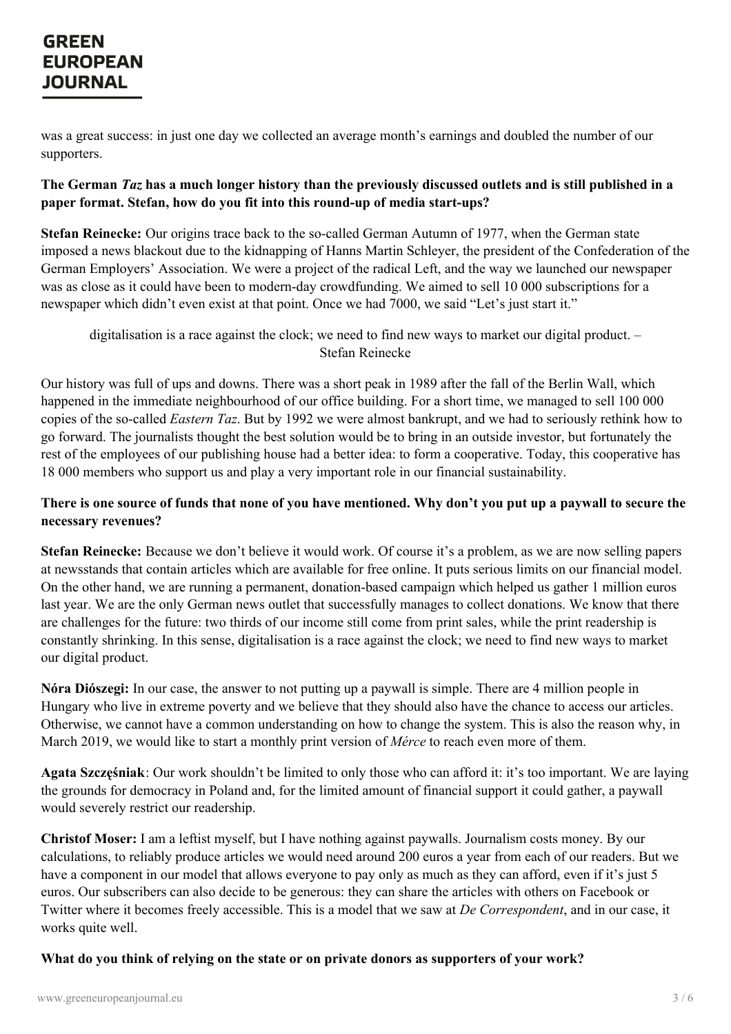was a great success: in just one day we collected an average month's earnings and doubled the number of our supporters.

### The German Taz has a much longer history than the previously discussed outlets and is still published in a **paper format. Stefan, how do you fit into this round-up of media start-ups?**

**Stefan Reinecke:** Our origins trace back to the so-called German Autumn of 1977, when the German state imposed a news blackout due to the kidnapping of Hanns Martin Schleyer, the president of the Confederation of the German Employers' Association. We were a project of the radical Left, and the way we launched our newspaper was as close as it could have been to modern-day crowdfunding. We aimed to sell 10 000 subscriptions for a newspaper which didn't even exist at that point. Once we had 7000, we said "Let's just start it."

digitalisation is a race against the clock; we need to find new ways to market our digital product. – Stefan Reinecke

Our history was full of ups and downs. There was a short peak in 1989 after the fall of the Berlin Wall, which happened in the immediate neighbourhood of our office building. For a short time, we managed to sell 100 000 copies of the so-called *Eastern Taz*. But by 1992 we were almost bankrupt, and we had to seriously rethink how to go forward. The journalists thought the best solution would be to bring in an outside investor, but fortunately the rest of the employees of our publishing house had a better idea: to form a cooperative. Today, this cooperative has 18 000 members who support us and play a very important role in our financial sustainability.

### There is one source of funds that none of you have mentioned. Why don't you put up a paywall to secure the **necessary revenues?**

**Stefan Reinecke:** Because we don't believe it would work. Of course it's a problem, as we are now selling papers at newsstands that contain articles which are available for free online. It puts serious limits on our financial model. On the other hand, we are running a permanent, donation-based campaign which helped us gather 1 million euros last year. We are the only German news outlet that successfully manages to collect donations. We know that there are challenges for the future: two thirds of our income still come from print sales, while the print readership is constantly shrinking. In this sense, digitalisation is a race against the clock; we need to find new ways to market our digital product.

**Nóra Diószegi:** In our case, the answer to not putting up a paywall is simple. There are 4 million people in Hungary who live in extreme poverty and we believe that they should also have the chance to access our articles. Otherwise, we cannot have a common understanding on how to change the system. This is also the reason why, in March 2019, we would like to start a monthly print version of *Mérce* to reach even more of them.

**Agata Szczęśniak**: Our work shouldn't be limited to only those who can afford it: it's too important. We are laying the grounds for democracy in Poland and, for the limited amount of financial support it could gather, a paywall would severely restrict our readership.

**Christof Moser:** I am a leftist myself, but I have nothing against paywalls. Journalism costs money. By our calculations, to reliably produce articles we would need around 200 euros a year from each of our readers. But we have a [component](https://www.greeneuropeanjournal.eu) in our model that allows everyone to pay only as much as they can afford, even if it's just 5 euros. Our subscribers can also decide to be generous: they can share the articles with others on Facebook or Twitter where it becomes freely accessible. This is a model that we saw at *De Correspondent*, and in our case, it works quite well.

#### **What do you think of relying on the state or on private donors as supporters of your work?**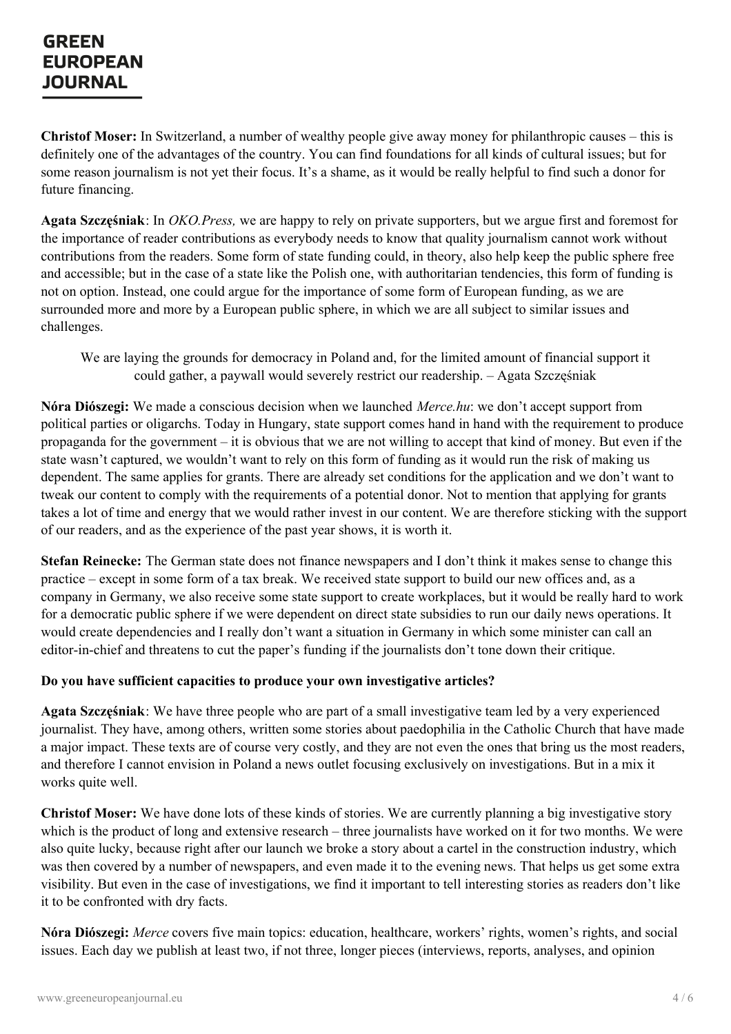**Christof Moser:** In Switzerland, a number of wealthy people give away money for philanthropic causes – this is definitely one of the advantages of the country. You can find foundations for all kinds of cultural issues; but for some reason journalism is not yet their focus. It's a shame, as it would be really helpful to find such a donor for future financing.

**Agata Szczęśniak**: In *OKO.Press,* we are happy to rely on private supporters, but we argue first and foremost for the importance of reader contributions as everybody needs to know that quality journalism cannot work without contributions from the readers. Some form of state funding could, in theory, also help keep the public sphere free and accessible; but in the case of a state like the Polish one, with authoritarian tendencies, this form of funding is not on option. Instead, one could argue for the importance of some form of European funding, as we are surrounded more and more by a European public sphere, in which we are all subject to similar issues and challenges.

We are laying the grounds for democracy in Poland and, for the limited amount of financial support it could gather, a paywall would severely restrict our readership. – Agata Szczęśniak

**Nóra Diószegi:** We made a conscious decision when we launched *Merce.hu*: we don't accept support from political parties or oligarchs. Today in Hungary, state support comes hand in hand with the requirement to produce propaganda for the government – it is obvious that we are not willing to accept that kind of money. But even if the state wasn't captured, we wouldn't want to rely on this form of funding as it would run the risk of making us dependent. The same applies for grants. There are already set conditions for the application and we don't want to tweak our content to comply with the requirements of a potential donor. Not to mention that applying for grants takes a lot of time and energy that we would rather invest in our content. We are therefore sticking with the support of our readers, and as the experience of the past year shows, it is worth it.

**Stefan Reinecke:** The German state does not finance newspapers and I don't think it makes sense to change this practice – except in some form of a tax break. We received state support to build our new offices and, as a company in Germany, we also receive some state support to create workplaces, but it would be really hard to work for a democratic public sphere if we were dependent on direct state subsidies to run our daily news operations. It would create dependencies and I really don't want a situation in Germany in which some minister can call an editor-in-chief and threatens to cut the paper's funding if the journalists don't tone down their critique.

#### **Do you have sufficient capacities to produce your own investigative articles?**

**Agata Szczęśniak**: We have three people who are part of a small investigative team led by a very experienced journalist. They have, among others, written some stories about paedophilia in the Catholic Church that have made a major impact. These texts are of course very costly, and they are not even the ones that bring us the most readers, and therefore I cannot envision in Poland a news outlet focusing exclusively on investigations. But in a mix it works quite well.

**Christof Moser:** We have done lots of these kinds of stories. We are currently planning a big investigative story which is the product of long and extensive research – three journalists have worked on it for two months. We were also quite lucky, because right after our launch we broke a story about a cartel in the construction industry, which was then [covered](https://www.greeneuropeanjournal.eu) by a number of newspapers, and even made it to the evening news. That helps us get some extra visibility. But even in the case of investigations, we find it important to tell interesting stories as readers don't like it to be confronted with dry facts.

**Nóra Diószegi:** *Merce* covers five main topics: education, healthcare, workers' rights, women's rights, and social issues. Each day we publish at least two, if not three, longer pieces (interviews, reports, analyses, and opinion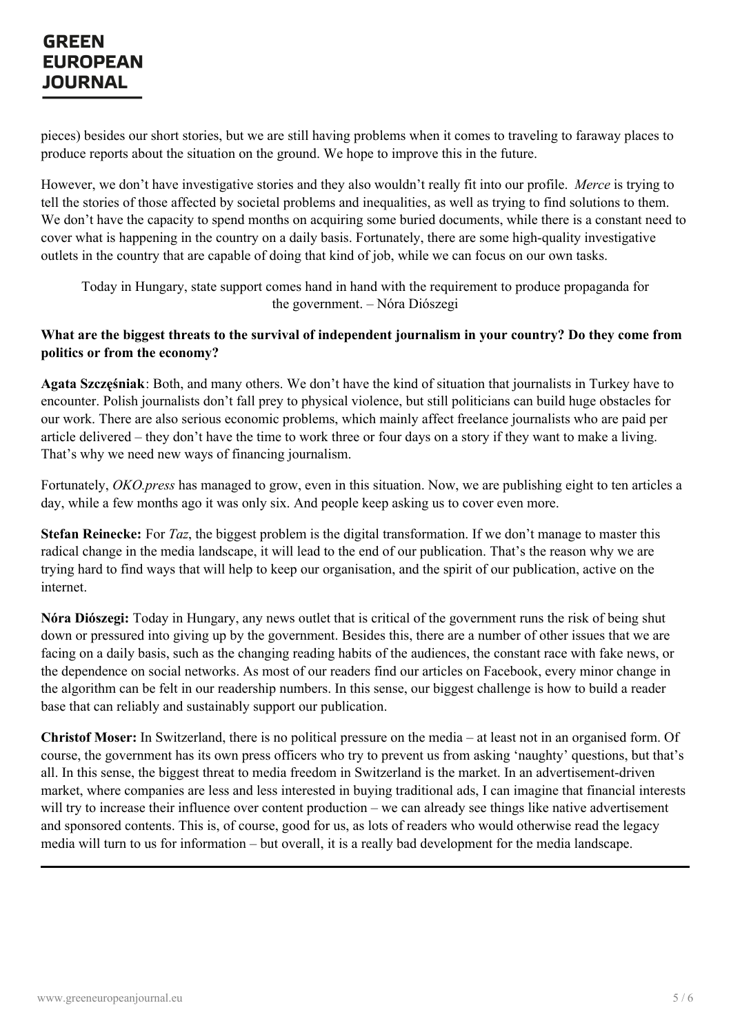pieces) besides our short stories, but we are still having problems when it comes to traveling to faraway places to produce reports about the situation on the ground. We hope to improve this in the future.

However, we don't have investigative stories and they also wouldn't really fit into our profile. *Merce* is trying to tell the stories of those affected by societal problems and inequalities, as well as trying to find solutions to them. We don't have the capacity to spend months on acquiring some buried documents, while there is a constant need to cover what is happening in the country on a daily basis. Fortunately, there are some high-quality investigative outlets in the country that are capable of doing that kind of job, while we can focus on our own tasks.

Today in Hungary, state support comes hand in hand with the requirement to produce propaganda for the government. – Nóra Diószegi

#### What are the biggest threats to the survival of independent journalism in your country? Do they come from **politics or from the economy?**

**Agata Szczęśniak**: Both, and many others. We don't have the kind of situation that journalists in Turkey have to encounter. Polish journalists don't fall prey to physical violence, but still politicians can build huge obstacles for our work. There are also serious economic problems, which mainly affect freelance journalists who are paid per article delivered – they don't have the time to work three or four days on a story if they want to make a living. That's why we need new ways of financing journalism.

Fortunately, *OKO.press* has managed to grow, even in this situation. Now, we are publishing eight to ten articles a day, while a few months ago it was only six. And people keep asking us to cover even more.

**Stefan Reinecke:** For *Taz*, the biggest problem is the digital transformation. If we don't manage to master this radical change in the media landscape, it will lead to the end of our publication. That's the reason why we are trying hard to find ways that will help to keep our organisation, and the spirit of our publication, active on the internet.

**Nóra Diószegi:** Today in Hungary, any news outlet that is critical of the government runs the risk of being shut down or pressured into giving up by the government. Besides this, there are a number of other issues that we are facing on a daily basis, such as the changing reading habits of the audiences, the constant race with fake news, or the dependence on social networks. As most of our readers find our articles on Facebook, every minor change in the algorithm can be felt in our readership numbers. In this sense, our biggest challenge is how to build a reader base that can reliably and sustainably support our publication.

**Christof Moser:** In Switzerland, there is no political pressure on the media – at least not in an organised form. Of course, the government has its own press officers who try to prevent us from asking 'naughty' questions, but that's all. In this sense, the biggest threat to media freedom in Switzerland is the market. In an advertisement-driven market, where companies are less and less interested in buying traditional ads, I can imagine that financial interests will try to increase their influence over content production – we can already see things like native advertisement and sponsored contents. This is, of course, good for us, as lots of readers who would otherwise read the legacy media will turn to us for information – but overall, it is a really bad development for the media landscape.